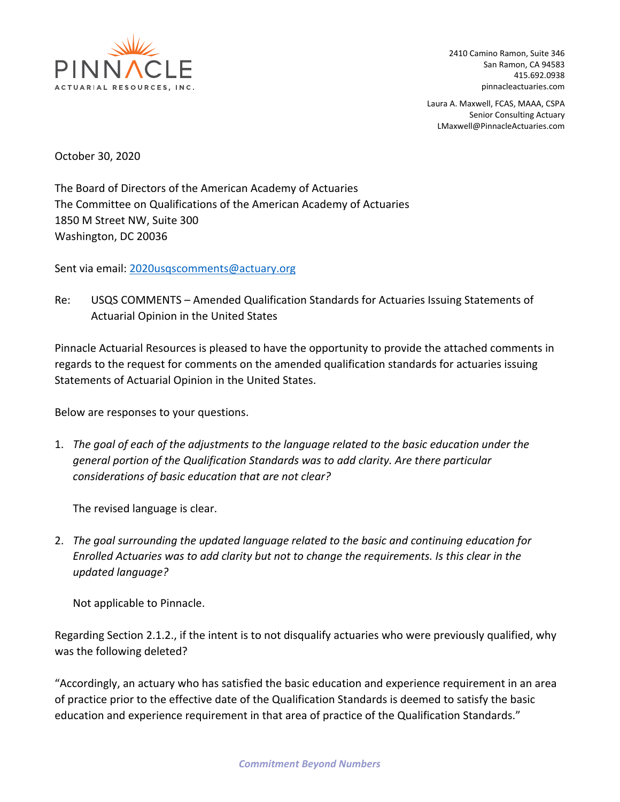

2410 Camino Ramon, Suite 346 San Ramon, CA 94583 415.692.0938 pinnacleactuaries.com

Laura A. Maxwell, FCAS, MAAA, CSPA Senior Consulting Actuary LMaxwell@PinnacleActuaries.com

October 30, 2020

The Board of Directors of the American Academy of Actuaries The Committee on Qualifications of the American Academy of Actuaries 1850 M Street NW, Suite 300 Washington, DC 20036

Sent via email: 2020usqscomments@actuary.org

Re: USQS COMMENTS – Amended Qualification Standards for Actuaries Issuing Statements of Actuarial Opinion in the United States

Pinnacle Actuarial Resources is pleased to have the opportunity to provide the attached comments in regards to the request for comments on the amended qualification standards for actuaries issuing Statements of Actuarial Opinion in the United States.

Below are responses to your questions.

1. *The goal of each of the adjustments to the language related to the basic education under the general portion of the Qualification Standards was to add clarity. Are there particular considerations of basic education that are not clear?*

The revised language is clear.

2. *The goal surrounding the updated language related to the basic and continuing education for Enrolled Actuaries was to add clarity but not to change the requirements. Is this clear in the updated language?*

Not applicable to Pinnacle.

Regarding Section 2.1.2., if the intent is to not disqualify actuaries who were previously qualified, why was the following deleted?

"Accordingly, an actuary who has satisfied the basic education and experience requirement in an area of practice prior to the effective date of the Qualification Standards is deemed to satisfy the basic education and experience requirement in that area of practice of the Qualification Standards."